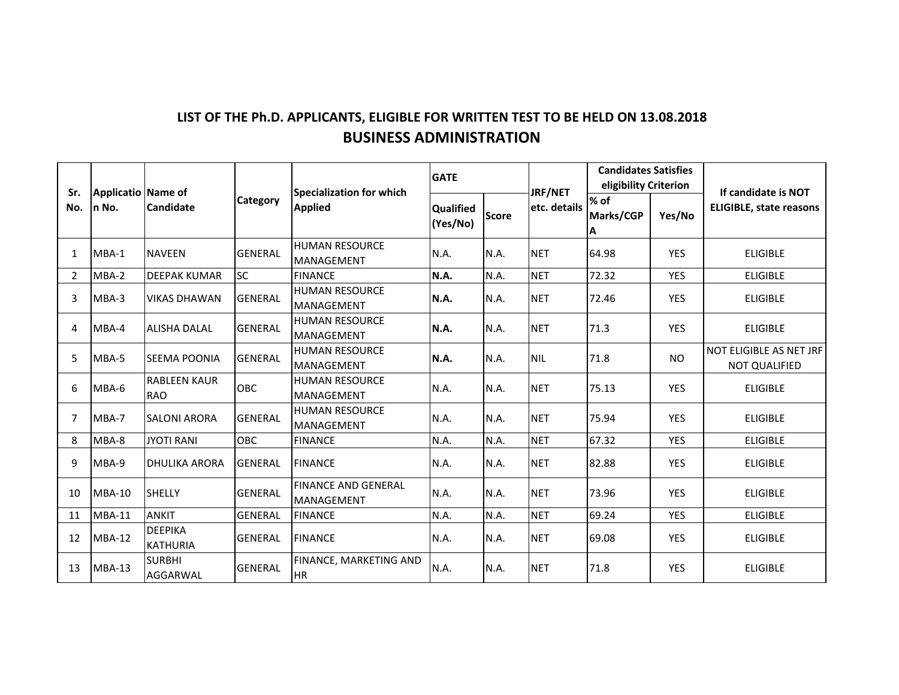## **LIST OF THE Ph.D. APPLICANTS, ELIGIBLE FOR WRITTEN TEST TO BE HELD ON 13.08.2018 BUSINESS ADMINISTRATION**

| Sr.<br>No.     | Applicatio Name of<br>In No. | <b>Candidate</b>                  | <b>Category</b> | <b>Specialization for which</b><br><b>Applied</b> | <b>GATE</b>           |              | <b>JRF/NET</b> | <b>Candidates Satisfies</b><br>eligibility Criterion |            | If candidate is NOT                             |
|----------------|------------------------------|-----------------------------------|-----------------|---------------------------------------------------|-----------------------|--------------|----------------|------------------------------------------------------|------------|-------------------------------------------------|
|                |                              |                                   |                 |                                                   | Qualified<br>(Yes/No) | <b>Score</b> | etc. details   | % of<br>Marks/CGP<br>ΙA                              | Yes/No     | <b>ELIGIBLE, state reasons</b>                  |
| 1              | MBA-1                        | <b>NAVEEN</b>                     | <b>GENERAL</b>  | <b>HUMAN RESOURCE</b><br><b>MANAGEMENT</b>        | N.A.                  | N.A.         | <b>NET</b>     | 64.98                                                | <b>YES</b> | <b>ELIGIBLE</b>                                 |
| 2              | MBA-2                        | <b>DEEPAK KUMAR</b>               | <b>SC</b>       | <b>FINANCE</b>                                    | N.A.                  | N.A.         | <b>NET</b>     | 72.32                                                | <b>YES</b> | <b>ELIGIBLE</b>                                 |
| 3              | MBA-3                        | <b>VIKAS DHAWAN</b>               | <b>GENERAL</b>  | <b>HUMAN RESOURCE</b><br><b>MANAGEMENT</b>        | <b>N.A.</b>           | N.A.         | <b>NET</b>     | 72.46                                                | <b>YES</b> | <b>ELIGIBLE</b>                                 |
| 4              | MBA-4                        | <b>ALISHA DALAL</b>               | <b>GENERAL</b>  | <b>HUMAN RESOURCE</b><br><b>MANAGEMENT</b>        | N.A.                  | N.A.         | <b>NET</b>     | 71.3                                                 | <b>YES</b> | <b>ELIGIBLE</b>                                 |
| 5              | MBA-5                        | <b>SEEMA POONIA</b>               | <b>GENERAL</b>  | <b>HUMAN RESOURCE</b><br><b>MANAGEMENT</b>        | N.A.                  | N.A.         | <b>NIL</b>     | 71.8                                                 | NO.        | NOT ELIGIBLE AS NET JRF<br><b>NOT QUALIFIED</b> |
| 6              | MBA-6                        | <b>RABLEEN KAUR</b><br><b>RAO</b> | OBC             | <b>HUMAN RESOURCE</b><br><b>MANAGEMENT</b>        | N.A.                  | N.A.         | <b>NET</b>     | 75.13                                                | <b>YES</b> | <b>ELIGIBLE</b>                                 |
| $\overline{7}$ | MBA-7                        | <b>SALONI ARORA</b>               | <b>GENERAL</b>  | <b>HUMAN RESOURCE</b><br><b>MANAGEMENT</b>        | N.A.                  | N.A.         | <b>NET</b>     | 75.94                                                | <b>YES</b> | <b>ELIGIBLE</b>                                 |
| 8              | MBA-8                        | <b>JYOTI RANI</b>                 | <b>OBC</b>      | <b>FINANCE</b>                                    | N.A.                  | N.A.         | <b>NET</b>     | 67.32                                                | <b>YES</b> | <b>ELIGIBLE</b>                                 |
| 9              | MBA-9                        | <b>DHULIKA ARORA</b>              | <b>GENERAL</b>  | <b>FINANCE</b>                                    | N.A.                  | N.A.         | <b>NET</b>     | 82.88                                                | <b>YES</b> | <b>ELIGIBLE</b>                                 |
| 10             | <b>MBA-10</b>                | <b>SHELLY</b>                     | <b>GENERAL</b>  | <b>FINANCE AND GENERAL</b><br>MANAGEMENT          | N.A.                  | N.A.         | <b>NET</b>     | 73.96                                                | <b>YES</b> | <b>ELIGIBLE</b>                                 |
| 11             | <b>MBA-11</b>                | <b>ANKIT</b>                      | <b>GENERAL</b>  | <b>FINANCE</b>                                    | N.A.                  | N.A.         | <b>NET</b>     | 69.24                                                | <b>YES</b> | <b>ELIGIBLE</b>                                 |
| 12             | <b>MBA-12</b>                | <b>DEEPIKA</b><br><b>KATHURIA</b> | <b>GENERAL</b>  | <b>FINANCE</b>                                    | N.A.                  | N.A.         | <b>NET</b>     | 69.08                                                | <b>YES</b> | <b>ELIGIBLE</b>                                 |
| 13             | $MBA-13$                     | <b>SURBHI</b><br>AGGARWAL         | <b>GENERAL</b>  | FINANCE, MARKETING AND<br><b>HR</b>               | N.A.                  | N.A.         | <b>NET</b>     | 71.8                                                 | <b>YES</b> | <b>ELIGIBLE</b>                                 |